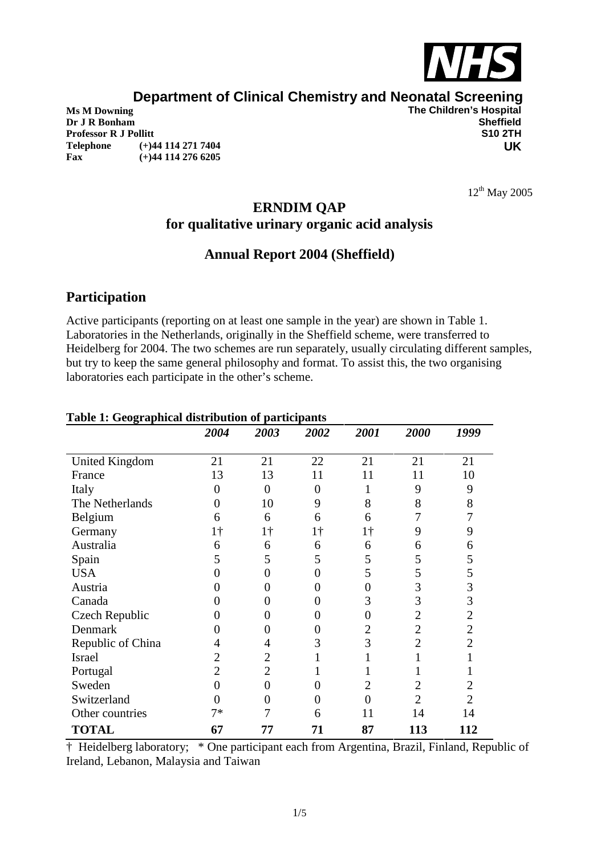

# **Department of Clinical Chemistry and Neonatal Screening**<br>The Children's Hospital

**Dr J R Bonham Sheffield**<br> **Professor R J Pollitt Sheffield Sheffield Sheffield Sheffield Sheffield Sheffield Sheffield Sheffield Sheffield Sheffield Sheffield Sheffield Sheffield Professor R J Pollitt Telephone (+)44 114 271 7404 Fax (+)44 114 276 6205**

**The Children's Hospital<br>Sheffield UK**

 $12^{th}$  May 2005

## **ERNDIM QAP for qualitative urinary organic acid analysis**

## **Annual Report 2004 (Sheffield)**

## **Participation**

Active participants (reporting on at least one sample in the year) are shown in Table 1. Laboratories in the Netherlands, originally in the Sheffield scheme, were transferred to Heidelberg for 2004. The two schemes are run separately, usually circulating different samples, but try to keep the same general philosophy and format. To assist this, the two organising laboratories each participate in the other's scheme.

| ruore 1. Geographical alon loution of participants | 2004           | 2003           | 2002       | 2001     | 2000           | 1999           |
|----------------------------------------------------|----------------|----------------|------------|----------|----------------|----------------|
| <b>United Kingdom</b>                              | 21             | 21             | 22         | 21       | 21             | 21             |
| France                                             | 13             | 13             | 11         | 11       | 11             | 10             |
| Italy                                              | $\overline{0}$ | $\overline{0}$ | 0          |          | 9              | 9              |
| The Netherlands                                    | 0              | 10             | 9          | 8        | 8              | 8              |
| Belgium                                            | 6              | 6              | 6          | 6        |                |                |
| Germany                                            | 1 <sup>†</sup> | $1\dagger$     | $1\dagger$ | 1†       | 9              | 9              |
| Australia                                          | 6              | 6              | 6          | 6        | 6              | 6              |
| Spain                                              | 5              | 5              | 5          | 5        | 5              | 5              |
| <b>USA</b>                                         | 0              | 0              | 0          | 5        | 5              | 5              |
| Austria                                            | 0              | 0              | 0          | $\theta$ | 3              | 3              |
| Canada                                             |                | 0              | 0          | 3        | 3              | 3              |
| Czech Republic                                     | 0              | 0              | 0          | 0        | 2              | $\overline{2}$ |
| Denmark                                            | 0              | 0              | 0          | 2        | 2              | $\overline{2}$ |
| Republic of China                                  | 4              | 4              | 3          | 3        | 2              | $\overline{2}$ |
| Israel                                             | $\overline{2}$ | 2              |            |          |                |                |
| Portugal                                           | $\overline{2}$ | $\overline{2}$ |            |          |                |                |
| Sweden                                             | $\overline{0}$ | $\overline{0}$ | 0          | 2        | 2              | 2              |
| Switzerland                                        | 0              | 0              | 0          | 0        | $\overline{2}$ | 2              |
| Other countries                                    | $7*$           |                | 6          | 11       | 14             | 14             |
| <b>TOTAL</b>                                       | 67             | 77             | 71         | 87       | 113            | 112            |

#### **Table 1: Geographical distribution of participants**

† Heidelberg laboratory; \* One participant each from Argentina, Brazil, Finland, Republic of Ireland, Lebanon, Malaysia and Taiwan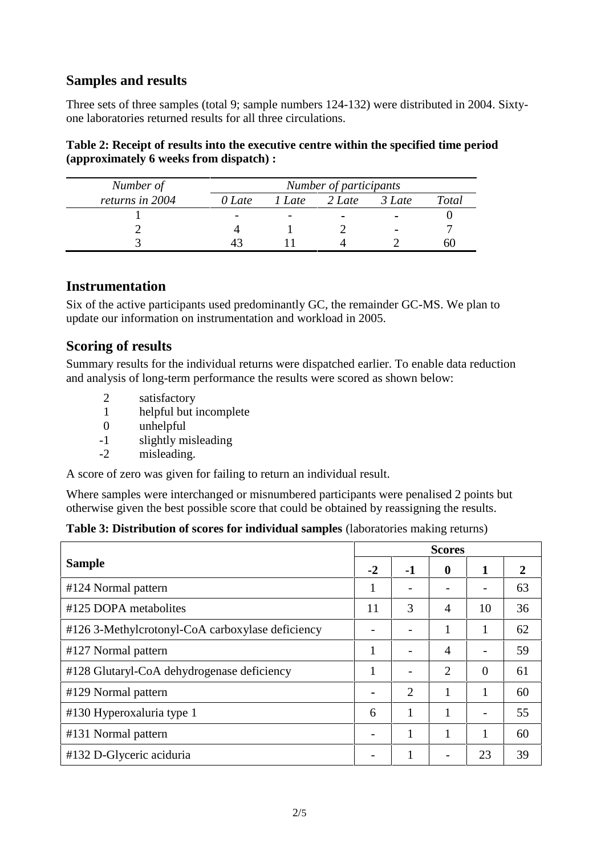## **Samples and results**

Three sets of three samples (total 9; sample numbers 124-132) were distributed in 2004. Sixty one laboratories returned results for all three circulations.

#### **Table 2: Receipt of results into the executive centre within the specified time period (approximately 6 weeks from dispatch) :**

| Number of       | Number of participants |                |                |                |              |  |  |  |
|-----------------|------------------------|----------------|----------------|----------------|--------------|--|--|--|
| returns in 2004 | 0 Late                 | l <i>l</i> ate | 2 Late         | 3 Late         | <b>Total</b> |  |  |  |
|                 |                        |                | $\blacksquare$ | $\blacksquare$ |              |  |  |  |
|                 |                        |                |                | $\blacksquare$ |              |  |  |  |
|                 |                        |                |                |                |              |  |  |  |

### **Instrumentation**

Six of the active participants used predominantly GC, the remainder GC-MS. We plan to update our information on instrumentation and workload in 2005.

## **Scoring of results**

Summary results for the individual returns were dispatched earlier. To enable data reduction and analysis of long-term performance the results were scored as shown below:

- 2 satisfactory
- 1 helpful but incomplete
- 0 unhelpful
- -1 slightly misleading
- -2 misleading.

A score of zero was given for failing to return an individual result.

Where samples were interchanged or misnumbered participants were penalised 2 points but otherwise given the best possible score that could be obtained by reassigning the results.

**Table 3: Distribution of scores for individual samples** (laboratories making returns)

|                                                  | <b>Scores</b> |      |                |                |    |  |  |
|--------------------------------------------------|---------------|------|----------------|----------------|----|--|--|
| <b>Sample</b>                                    | $-2$          | $-1$ | $\mathbf 0$    | 1              | 2  |  |  |
| #124 Normal pattern                              | 1             |      |                |                | 63 |  |  |
| #125 DOPA metabolites                            | 11            | 3    | $\overline{A}$ | 10             | 36 |  |  |
| #126 3-Methylcrotonyl-CoA carboxylase deficiency |               |      |                |                | 62 |  |  |
| #127 Normal pattern                              |               |      | $\overline{A}$ |                | 59 |  |  |
| #128 Glutaryl-CoA dehydrogenase deficiency       |               |      | $\overline{2}$ | $\overline{0}$ | 61 |  |  |
| #129 Normal pattern                              |               | 2    |                |                | 60 |  |  |
| #130 Hyperoxaluria type 1                        | 6             |      |                |                | 55 |  |  |
| #131 Normal pattern                              |               |      | 1              |                | 60 |  |  |
| #132 D-Glyceric aciduria                         |               |      |                | 23             | 39 |  |  |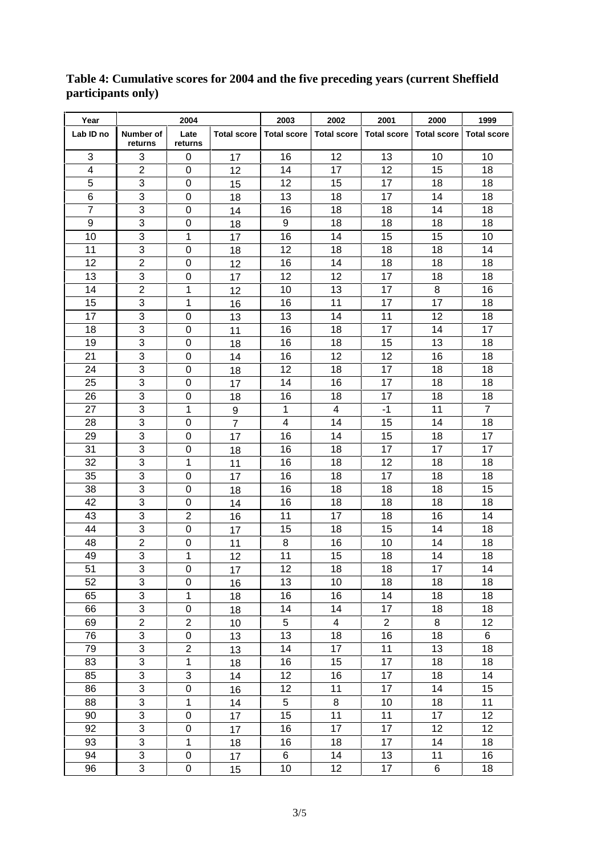| Year                    | 2004                      |                         | 2003<br>2002       |                    | 2001                    | 2000               | 1999               |                    |
|-------------------------|---------------------------|-------------------------|--------------------|--------------------|-------------------------|--------------------|--------------------|--------------------|
| Lab ID no               | Number of<br>returns      | Late<br>returns         | <b>Total score</b> | <b>Total score</b> | <b>Total score</b>      | <b>Total score</b> | <b>Total score</b> | <b>Total score</b> |
| 3                       | 3                         | 0                       | 17                 | 16                 | 12                      | 13                 | 10                 | 10                 |
| $\overline{\mathbf{4}}$ | $\overline{c}$            | 0                       | 12                 | 14                 | 17                      | 12                 | 15                 | 18                 |
| 5                       | 3                         | 0                       | 15                 | 12                 | 15                      | 17                 | 18                 | 18                 |
| 6                       | 3                         | $\mathbf 0$             | 18                 | 13                 | 18                      | 17                 | 14                 | 18                 |
| $\overline{7}$          | $\ensuremath{\mathsf{3}}$ | 0                       | 14                 | 16                 | 18                      | 18                 | 14                 | 18                 |
| 9                       | $\mathsf 3$               | 0                       | 18                 | 9                  | 18                      | 18                 | 18                 | 18                 |
| 10                      | 3                         | 1                       | 17                 | 16                 | 14                      | 15                 | 15                 | 10                 |
| 11                      | 3                         | 0                       | 18                 | 12                 | 18                      | 18                 | 18                 | 14                 |
| 12                      | $\overline{2}$            | 0                       | 12                 | 16                 | 14                      | 18                 | 18                 | 18                 |
| 13                      | 3                         | $\boldsymbol{0}$        | 17                 | 12                 | 12                      | 17                 | 18                 | 18                 |
| 14                      | $\overline{c}$            | 1                       | 12                 | 10                 | 13                      | 17                 | 8                  | 16                 |
| 15                      | $\overline{3}$            | 1                       | 16                 | 16                 | 11                      | 17                 | 17                 | 18                 |
| 17                      | $\overline{3}$            | 0                       | 13                 | 13                 | 14                      | 11                 | 12                 | 18                 |
| 18                      | $\ensuremath{\mathsf{3}}$ | 0                       | 11                 | 16                 | 18                      | 17                 | 14                 | 17                 |
| 19                      | 3                         | $\mathbf 0$             | 18                 | 16                 | 18                      | 15                 | 13                 | 18                 |
| 21                      | $\ensuremath{\mathsf{3}}$ | 0                       | 14                 | 16                 | 12                      | 12                 | 16                 | 18                 |
| 24                      | $\mathbf{3}$              | 0                       | 18                 | 12                 | 18                      | 17                 | 18                 | 18                 |
| 25                      | 3                         | 0                       | 17                 | 14                 | 16                      | 17                 | 18                 | 18                 |
| 26                      | 3                         | 0                       | 18                 | 16                 | 18                      | 17                 | 18                 | 18                 |
| 27                      | 3                         | 1                       | 9                  | 1                  | 4                       | $-1$               | 11                 | $\overline{7}$     |
| 28                      | 3                         | $\mathbf 0$             | $\overline{7}$     | 4                  | 14                      | 15                 | 14                 | 18                 |
| 29                      | $\mathbf{3}$              | 0                       | 17                 | 16                 | 14                      | 15                 | 18                 | 17                 |
| 31                      | $\overline{3}$            | $\boldsymbol{0}$        | 18                 | 16                 | 18                      | 17                 | 17                 | 17                 |
| 32                      | 3                         | 1                       | 11                 | 16                 | 18                      | 12                 | 18                 | 18                 |
| 35                      | 3                         | 0                       | 17                 | 16                 | 18                      | 17                 | 18                 | 18                 |
| 38                      | 3                         | 0                       |                    | 16                 | 18                      | 18                 | 18                 | 15                 |
| 42                      | $\overline{3}$            | 0                       | 18<br>14           | 16                 | 18                      | 18                 | 18                 | 18                 |
| 43                      | $\ensuremath{\mathsf{3}}$ | 2                       |                    | 11                 | 17                      | 18                 | 16                 | 14                 |
| 44                      | $\ensuremath{\mathsf{3}}$ |                         | 16                 | 15                 | 18                      | 15                 | 14                 | 18                 |
|                         | $\overline{2}$            | 0                       | 17                 | 8                  |                         |                    |                    | 18                 |
| 48<br>49                | 3                         | 0<br>1                  | 11                 | 11                 | 16<br>15                | 10                 | 14                 | 18                 |
|                         |                           |                         | 12                 |                    |                         | 18                 | 14                 |                    |
| 51                      | $\overline{3}$            | $\mathbf 0$             | 17                 | 12                 | $\overline{18}$         | 18                 | $\overline{17}$    | 14                 |
| 52                      | $\overline{3}$            | $\boldsymbol{0}$        | 16                 | 13                 | 10                      | 18                 | 18                 | 18                 |
| 65                      | $\overline{3}$            | 1                       | 18                 | 16                 | 16                      | 14                 | 18                 | 18                 |
| 66                      | $\overline{3}$            | 0                       | 18                 | 14                 | 14                      | 17                 | 18                 | 18                 |
| 69                      | $\overline{2}$            | $\overline{c}$          | 10                 | 5                  | $\overline{\mathbf{4}}$ | $\overline{2}$     | 8                  | 12                 |
| 76                      | $\overline{3}$            | $\mathsf 0$             | 13                 | 13                 | 18                      | 16                 | 18                 | 6                  |
| 79                      | $\overline{3}$            | $\overline{\mathbf{c}}$ | 13                 | 14                 | 17                      | 11                 | 13                 | 18                 |
| 83                      | $\overline{3}$            | $\mathbf 1$             | 18                 | 16                 | 15                      | 17                 | 18                 | 18                 |
| 85                      | $\overline{3}$            | 3                       | 14                 | 12                 | 16                      | 17                 | 18                 | 14                 |
| 86                      | $\overline{3}$            | $\mathbf 0$             | 16                 | 12                 | 11                      | 17                 | 14                 | 15                 |
| 88                      | $\overline{3}$            | 1                       | 14                 | $\,$ 5 $\,$        | 8                       | 10                 | 18                 | 11                 |
| 90                      | $\overline{3}$            | $\mathbf 0$             | 17                 | 15                 | 11                      | 11                 | 17                 | 12                 |
| 92                      | $\overline{3}$            | $\mathbf 0$             | 17                 | 16                 | 17                      | 17                 | 12                 | 12                 |
| 93                      | $\overline{3}$            | 1                       | 18                 | 16                 | 18                      | 17                 | 14                 | 18                 |
| 94                      | $\overline{3}$            | $\pmb{0}$               | 17                 | 6                  | 14                      | 13                 | 11                 | 16                 |
| 96                      | 3                         | $\mathbf 0$             | 15                 | 10                 | 12                      | 17                 | 6                  | 18                 |

## **Table 4: Cumulative scores for 2004 and the five preceding years (current Sheffield participants only)**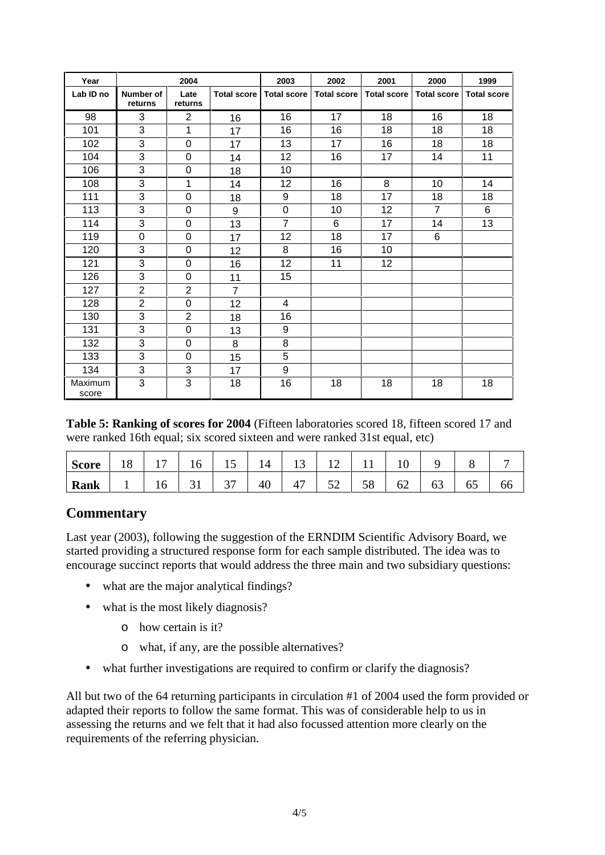| Year             | 2004                        |                 | 2003               | 2002               | 2001               | 2000               | 1999               |                    |
|------------------|-----------------------------|-----------------|--------------------|--------------------|--------------------|--------------------|--------------------|--------------------|
| Lab ID no        | <b>Number of</b><br>returns | Late<br>returns | <b>Total score</b> | <b>Total score</b> | <b>Total score</b> | <b>Total score</b> | <b>Total score</b> | <b>Total score</b> |
| 98               | 3                           | 2               | 16                 | 16                 | 17                 | 18                 | 16                 | 18                 |
| 101              | 3                           | 1               | 17                 | 16                 | 16                 | 18                 | 18                 | 18                 |
| 102              | 3                           | 0               | 17                 | 13                 | 17                 | 16                 | 18                 | 18                 |
| 104              | 3                           | 0               | 14                 | 12                 | 16                 | 17                 | 14                 | 11                 |
| 106              | 3                           | $\mathbf 0$     | 18                 | 10                 |                    |                    |                    |                    |
| 108              | 3                           | 1               | 14                 | 12                 | 16                 | 8                  | 10                 | 14                 |
| 111              | 3                           | 0               | 18                 | 9                  | 18                 | 17                 | 18                 | 18                 |
| 113              | 3                           | 0               | 9                  | $\mathbf 0$        | 10                 | 12                 | $\overline{7}$     | 6                  |
| 114              | $\overline{3}$              | 0               | 13                 | $\overline{7}$     | 6                  | 17                 | 14                 | 13                 |
| 119              | $\boldsymbol{0}$            | 0               | 17                 | 12                 | 18                 | 17                 | 6                  |                    |
| 120              | 3                           | 0               | 12                 | 8                  | 16                 | 10                 |                    |                    |
| 121              | 3                           | 0               | 16                 | 12                 | 11                 | 12                 |                    |                    |
| 126              | 3                           | 0               | 11                 | 15                 |                    |                    |                    |                    |
| 127              | $\overline{2}$              | $\overline{2}$  | $\overline{7}$     |                    |                    |                    |                    |                    |
| 128              | $\overline{2}$              | 0               | 12                 | 4                  |                    |                    |                    |                    |
| 130              | 3                           | $\overline{2}$  | 18                 | 16                 |                    |                    |                    |                    |
| 131              | 3                           | 0               | 13                 | 9                  |                    |                    |                    |                    |
| 132              | 3                           | 0               | 8                  | 8                  |                    |                    |                    |                    |
| 133              | 3                           | 0               | 15                 | 5                  |                    |                    |                    |                    |
| 134              | 3                           | 3               | 17                 | 9                  |                    |                    |                    |                    |
| Maximum<br>score | 3                           | 3               | 18                 | 16                 | 18                 | 18                 | 18                 | 18                 |

**Table 5: Ranking of scores for 2004** (Fifteen laboratories scored 18, fifteen scored 17 and were ranked 16th equal; six scored sixteen and were ranked 31st equal, etc)

| Score<br><b>DCOL</b> | 18 | -  | *∿ | -           | 14 | $\sim$ | <u>+ 4</u>       | . .      |    |        | ີ  |    |
|----------------------|----|----|----|-------------|----|--------|------------------|----------|----|--------|----|----|
| <b>Rank</b>          |    | 10 | ັ  | $\sim$<br>ັ | 40 | 47     | $\epsilon$<br>◡∼ | cο<br>υo | 62 | ہ<br>◡ | ნა | oo |

### **Commentary**

Last year (2003), following the suggestion of the ERNDIM Scientific Advisory Board, we started providing a structured response form for each sample distributed. The idea was to encourage succinct reports that would address the three main and two subsidiary questions:

- what are the major analytical findings?
- what is the most likely diagnosis?
	- o how certain is it?
	- o what, if any, are the possible alternatives?
- what further investigations are required to confirm or clarify the diagnosis?

All but two of the 64 returning participants in circulation #1 of 2004 used the form provided or adapted their reports to follow the same format. This was of considerable help to us in assessing the returns and we felt that it had also focussed attention more clearly on the requirements of the referring physician.